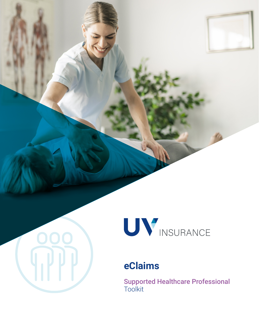

# **eClaims**

**TIPP** 

Supported Healthcare Professional Toolkit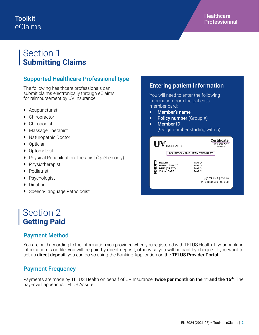### **Toolkit** eClaims

## Section 1 **Submitting Claims**

### Supported Healthcare Professional type

The following healthcare professionals can submit claims electronically through eClaims for reimbursement by UV Insurance:

- ▶ Acupuncturist
- ▶ Chiropractor
- Chiropodist
- ▶ Massage Therapist
- ▶ Naturopathic Doctor
- ▶ Optician
- ▶ Optometrist
- ▶ Physical Rehabilitation Therapist (Québec only)
- ▶ Physiotherapist
- ▶ Podiatrist
- Psychologist
- Dietitian
- ▶ Speech-Language Pathologist

### Section 2 **Getting Paid**

### Payment Method

You are paid according to the information you provided when you registered with TELUS Health. If your banking information is on file, you will be paid by direct deposit, otherwise you will be paid by cheque. If you want to set up direct deposit, you can do so using the Banking Application on the TELUS Provider Portal.

### Payment Frequency

Payments are made by TELUS Health on behalf of UV Insurance, twice per month on the 1<sup>st</sup> and the 16<sup>th</sup>. The payer will appear as TELUS Assure.

### Entering patient information You will need to enter the following information from the patient's member card: Member's name  $\triangleright$  Policy number (Group #) Member ID (9-digit number starting with 5)

| UV                                                     | <b>INSURANCE</b>                 |                                                    | <b>Certificate</b><br>501 234 567<br>Group: 1111     |
|--------------------------------------------------------|----------------------------------|----------------------------------------------------|------------------------------------------------------|
| <b>INSURED'S NAME: JEAN TREMBLAY</b>                   |                                  |                                                    |                                                      |
| <b>BENEFITS</b><br><b>HEALTH</b><br><b>VISUAL CARE</b> | DENTAL (DIRECT)<br>DRUG (DIRECT) | <b>FAMILY</b><br>FAMILY<br>FAMILY<br><b>FAMILY</b> | $\mathscr{A}$ TELUS   assure<br>23 01000 500 000 000 |